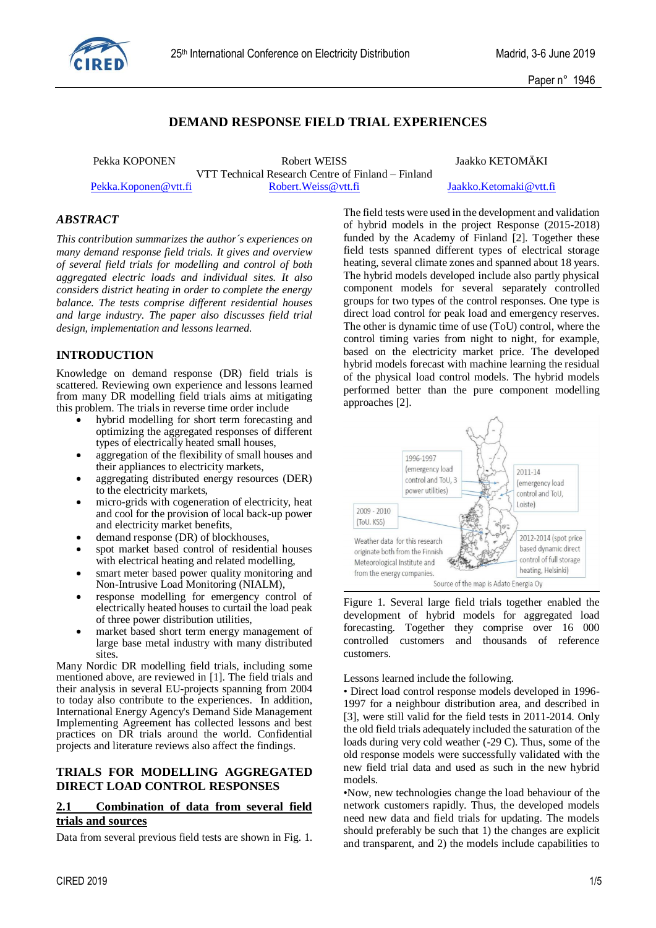

# **DEMAND RESPONSE FIELD TRIAL EXPERIENCES**

Pekka KOPONEN Robert WEISS Jaakko KETOMÄKI VTT Technical Research Centre of Finland – Finland [Pekka.Koponen@vtt.fi](mailto:Pekka.Koponen@vtt.fi) [Robert.Weiss@vtt.fi](mailto:Robert.Weiss@vtt.fi) [Jaakko.Ketomaki@vtt.fi](mailto:Jaakko.Ketomaki@vtt.fi)

### *ABSTRACT*

*This contribution summarizes the author´s experiences on many demand response field trials. It gives and overview of several field trials for modelling and control of both aggregated electric loads and individual sites. It also considers district heating in order to complete the energy balance. The tests comprise different residential houses and large industry. The paper also discusses field trial design, implementation and lessons learned.*

## **INTRODUCTION**

Knowledge on demand response (DR) field trials is scattered. Reviewing own experience and lessons learned from many DR modelling field trials aims at mitigating this problem. The trials in reverse time order include

- hybrid modelling for short term forecasting and optimizing the aggregated responses of different types of electrically heated small houses,
- aggregation of the flexibility of small houses and their appliances to electricity markets,
- aggregating distributed energy resources (DER) to the electricity markets,
- micro-grids with cogeneration of electricity, heat and cool for the provision of local back-up power and electricity market benefits,
- demand response (DR) of blockhouses,
- spot market based control of residential houses with electrical heating and related modelling,
- smart meter based power quality monitoring and Non-Intrusive Load Monitoring (NIALM),
- response modelling for emergency control of electrically heated houses to curtail the load peak of three power distribution utilities,
- market based short term energy management of large base metal industry with many distributed sites.

Many Nordic DR modelling field trials, including some mentioned above, are reviewed in [1]. The field trials and their analysis in several EU-projects spanning from 2004 to today also contribute to the experiences. In addition, International Energy Agency's Demand Side Management Implementing Agreement has collected lessons and best practices on DR trials around the world. Confidential projects and literature reviews also affect the findings.

#### **TRIALS FOR MODELLING AGGREGATED DIRECT LOAD CONTROL RESPONSES**

### **2.1 Combination of data from several field trials and sources**

Data from several previous field tests are shown in Fig. 1.

The field tests were used in the development and validation of hybrid models in the project Response (2015-2018) funded by the Academy of Finland [2]. Together these field tests spanned different types of electrical storage heating, several climate zones and spanned about 18 years. The hybrid models developed include also partly physical component models for several separately controlled groups for two types of the control responses. One type is direct load control for peak load and emergency reserves. The other is dynamic time of use (ToU) control, where the control timing varies from night to night, for example, based on the electricity market price. The developed hybrid models forecast with machine learning the residual of the physical load control models. The hybrid models performed better than the pure component modelling approaches [2].





Lessons learned include the following.

• Direct load control response models developed in 1996- 1997 for a neighbour distribution area, and described in [3], were still valid for the field tests in 2011-2014. Only the old field trials adequately included the saturation of the loads during very cold weather (-29 C). Thus, some of the old response models were successfully validated with the new field trial data and used as such in the new hybrid models.

•Now, new technologies change the load behaviour of the network customers rapidly. Thus, the developed models need new data and field trials for updating. The models should preferably be such that 1) the changes are explicit and transparent, and 2) the models include capabilities to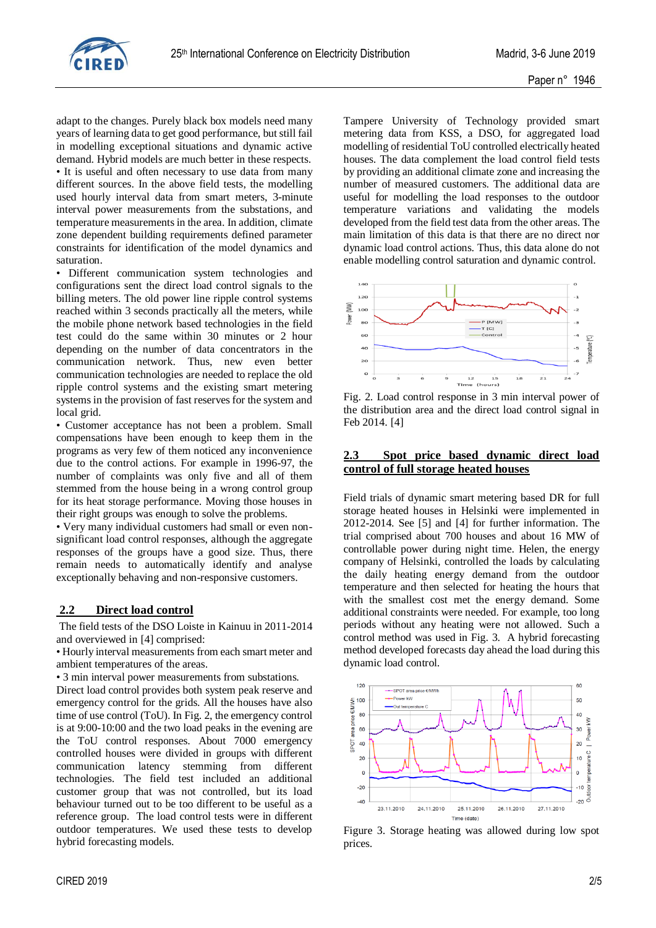

adapt to the changes. Purely black box models need many years of learning data to get good performance, but still fail in modelling exceptional situations and dynamic active demand. Hybrid models are much better in these respects. • It is useful and often necessary to use data from many different sources. In the above field tests, the modelling used hourly interval data from smart meters, 3-minute interval power measurements from the substations, and temperature measurements in the area. In addition, climate zone dependent building requirements defined parameter constraints for identification of the model dynamics and saturation.

• Different communication system technologies and configurations sent the direct load control signals to the billing meters. The old power line ripple control systems reached within 3 seconds practically all the meters, while the mobile phone network based technologies in the field test could do the same within 30 minutes or 2 hour depending on the number of data concentrators in the communication network. Thus, new even better communication technologies are needed to replace the old ripple control systems and the existing smart metering systems in the provision of fast reserves for the system and local grid.

• Customer acceptance has not been a problem. Small compensations have been enough to keep them in the programs as very few of them noticed any inconvenience due to the control actions. For example in 1996-97, the number of complaints was only five and all of them stemmed from the house being in a wrong control group for its heat storage performance. Moving those houses in their right groups was enough to solve the problems.

• Very many individual customers had small or even nonsignificant load control responses, although the aggregate responses of the groups have a good size. Thus, there remain needs to automatically identify and analyse exceptionally behaving and non-responsive customers.

#### **2.2 Direct load control**

The field tests of the DSO Loiste in Kainuu in 2011-2014 and overviewed in [4] comprised:

• Hourly interval measurements from each smart meter and ambient temperatures of the areas.

• 3 min interval power measurements from substations.

Direct load control provides both system peak reserve and emergency control for the grids. All the houses have also time of use control (ToU). In Fig. 2, the emergency control is at 9:00-10:00 and the two load peaks in the evening are the ToU control responses. About 7000 emergency controlled houses were divided in groups with different communication latency stemming from different technologies. The field test included an additional customer group that was not controlled, but its load behaviour turned out to be too different to be useful as a reference group. The load control tests were in different outdoor temperatures. We used these tests to develop hybrid forecasting models.

Tampere University of Technology provided smart metering data from KSS, a DSO, for aggregated load modelling of residential ToU controlled electrically heated houses. The data complement the load control field tests by providing an additional climate zone and increasing the number of measured customers. The additional data are useful for modelling the load responses to the outdoor temperature variations and validating the models developed from the field test data from the other areas. The main limitation of this data is that there are no direct nor dynamic load control actions. Thus, this data alone do not enable modelling control saturation and dynamic control.



Fig. 2. Load control response in 3 min interval power of the distribution area and the direct load control signal in Feb 2014. [4]

### **2.3 Spot price based dynamic direct load control of full storage heated houses**

Field trials of dynamic smart metering based DR for full storage heated houses in Helsinki were implemented in 2012-2014. See [5] and [4] for further information. The trial comprised about 700 houses and about 16 MW of controllable power during night time. Helen, the energy company of Helsinki, controlled the loads by calculating the daily heating energy demand from the outdoor temperature and then selected for heating the hours that with the smallest cost met the energy demand. Some additional constraints were needed. For example, too long periods without any heating were not allowed. Such a control method was used in Fig. 3. A hybrid forecasting method developed forecasts day ahead the load during this dynamic load control.



Figure 3. Storage heating was allowed during low spot prices.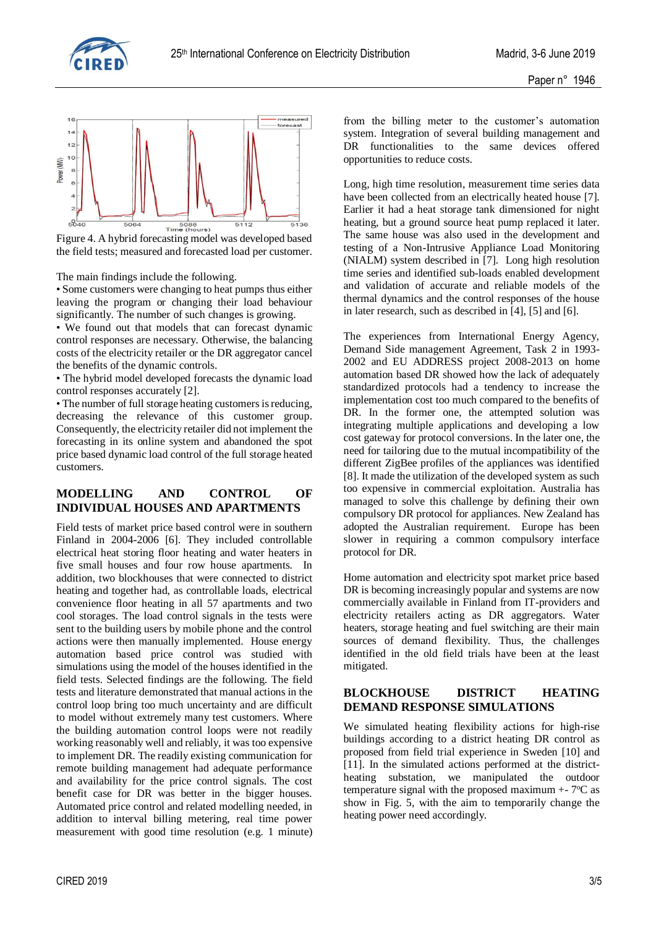



the field tests; measured and forecasted load per customer.

The main findings include the following.

• Some customers were changing to heat pumps thus either leaving the program or changing their load behaviour significantly. The number of such changes is growing.

• We found out that models that can forecast dynamic control responses are necessary. Otherwise, the balancing costs of the electricity retailer or the DR aggregator cancel the benefits of the dynamic controls.

• The hybrid model developed forecasts the dynamic load control responses accurately [2].

• The number of full storage heating customers is reducing, decreasing the relevance of this customer group. Consequently, the electricity retailer did not implement the forecasting in its online system and abandoned the spot price based dynamic load control of the full storage heated customers.

### **MODELLING AND CONTROL OF INDIVIDUAL HOUSES AND APARTMENTS**

Field tests of market price based control were in southern Finland in 2004-2006 [6]. They included controllable electrical heat storing floor heating and water heaters in five small houses and four row house apartments. In addition, two blockhouses that were connected to district heating and together had, as controllable loads, electrical convenience floor heating in all 57 apartments and two cool storages. The load control signals in the tests were sent to the building users by mobile phone and the control actions were then manually implemented. House energy automation based price control was studied with simulations using the model of the houses identified in the field tests. Selected findings are the following. The field tests and literature demonstrated that manual actions in the control loop bring too much uncertainty and are difficult to model without extremely many test customers. Where the building automation control loops were not readily working reasonably well and reliably, it was too expensive to implement DR. The readily existing communication for remote building management had adequate performance and availability for the price control signals. The cost benefit case for DR was better in the bigger houses. Automated price control and related modelling needed, in addition to interval billing metering, real time power measurement with good time resolution (e.g. 1 minute) from the billing meter to the customer's automation system. Integration of several building management and DR functionalities to the same devices offered opportunities to reduce costs.

Long, high time resolution, measurement time series data have been collected from an electrically heated house [7]. Earlier it had a heat storage tank dimensioned for night heating, but a ground source heat pump replaced it later. The same house was also used in the development and testing of a Non-Intrusive Appliance Load Monitoring (NIALM) system described in [7]. Long high resolution time series and identified sub-loads enabled development and validation of accurate and reliable models of the thermal dynamics and the control responses of the house in later research, such as described in [4], [5] and [6].

The experiences from International Energy Agency, Demand Side management Agreement, Task 2 in 1993- 2002 and EU ADDRESS project 2008-2013 on home automation based DR showed how the lack of adequately standardized protocols had a tendency to increase the implementation cost too much compared to the benefits of DR. In the former one, the attempted solution was integrating multiple applications and developing a low cost gateway for protocol conversions. In the later one, the need for tailoring due to the mutual incompatibility of the different ZigBee profiles of the appliances was identified [8]. It made the utilization of the developed system as such too expensive in commercial exploitation. Australia has managed to solve this challenge by defining their own compulsory DR protocol for appliances. New Zealand has adopted the Australian requirement. Europe has been slower in requiring a common compulsory interface protocol for DR.

Home automation and electricity spot market price based DR is becoming increasingly popular and systems are now commercially available in Finland from IT-providers and electricity retailers acting as DR aggregators. Water heaters, storage heating and fuel switching are their main sources of demand flexibility. Thus, the challenges identified in the old field trials have been at the least mitigated.

## **BLOCKHOUSE DISTRICT HEATING DEMAND RESPONSE SIMULATIONS**

We simulated heating flexibility actions for high-rise buildings according to a district heating DR control as proposed from field trial experience in Sweden [10] and [11]. In the simulated actions performed at the districtheating substation, we manipulated the outdoor temperature signal with the proposed maximum  $+$ - 7 $\rm{°C}$  as show in Fig. 5, with the aim to temporarily change the heating power need accordingly.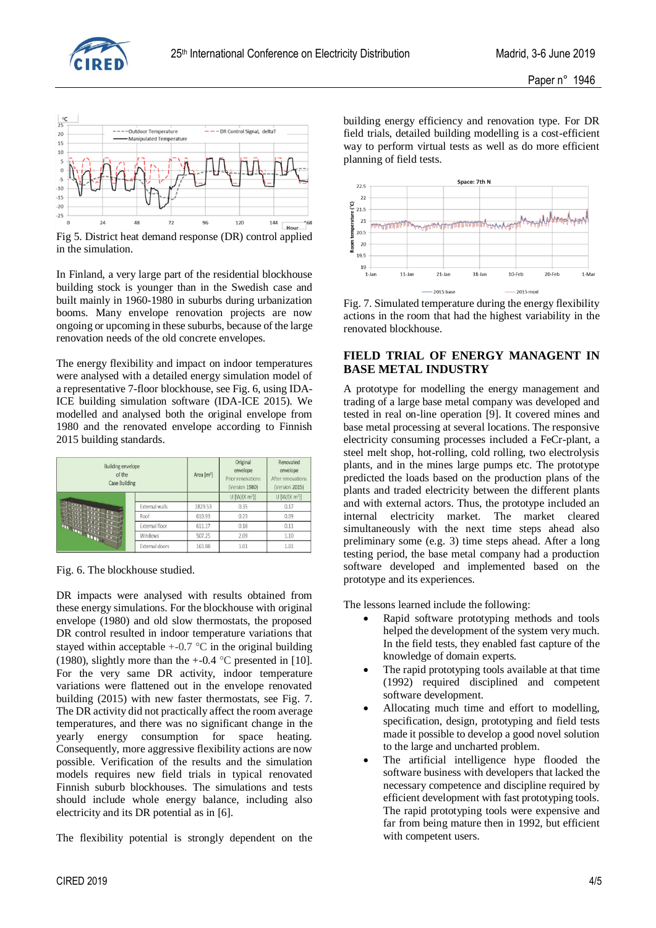



Fig 5. District heat demand response (DR) control applied in the simulation.

In Finland, a very large part of the residential blockhouse building stock is younger than in the Swedish case and built mainly in 1960-1980 in suburbs during urbanization booms. Many envelope renovation projects are now ongoing or upcoming in these suburbs, because of the large renovation needs of the old concrete envelopes.

The energy flexibility and impact on indoor temperatures were analysed with a detailed energy simulation model of a representative 7-floor blockhouse, see Fig. 6, using IDA-ICE building simulation software (IDA-ICE 2015). We modelled and analysed both the original envelope from 1980 and the renovated envelope according to Finnish 2015 building standards.

| <b>Building envelope</b><br>of the<br><b>Case Building</b> |                       | Area [m <sup>2</sup> ] | Original<br>envelope<br>Prior renovations<br>(Version 1980) | Renovated<br>envelope<br>After renovations<br>(Version 2015) |
|------------------------------------------------------------|-----------------------|------------------------|-------------------------------------------------------------|--------------------------------------------------------------|
|                                                            |                       |                        | $U$ [W/(K $m2$ )]                                           | $U$ [W/(K m <sup>2</sup> )]                                  |
|                                                            | <b>External walls</b> | 1829.53                | 0.35                                                        | 0.17                                                         |
|                                                            | Roof                  | 610.93                 | 0.23                                                        | 0.09                                                         |
|                                                            | External floor        | 611.17                 | 0.18                                                        | 0.11                                                         |
| <b>READY AND A</b>                                         | <b>Windows</b>        | 507.25                 | 2.09                                                        | 1.10                                                         |
|                                                            | External doors        | 163.88                 | 1.01                                                        | 1.01                                                         |

Fig. 6. The blockhouse studied.

DR impacts were analysed with results obtained from these energy simulations. For the blockhouse with original envelope (1980) and old slow thermostats, the proposed DR control resulted in indoor temperature variations that stayed within acceptable  $+0.7$  °C in the original building (1980), slightly more than the  $+$ -0.4 °C presented in [10]. For the very same DR activity, indoor temperature variations were flattened out in the envelope renovated building (2015) with new faster thermostats, see Fig. 7. The DR activity did not practically affect the room average temperatures, and there was no significant change in the yearly energy consumption for space heating. Consequently, more aggressive flexibility actions are now possible. Verification of the results and the simulation models requires new field trials in typical renovated Finnish suburb blockhouses. The simulations and tests should include whole energy balance, including also electricity and its DR potential as in [6].

The flexibility potential is strongly dependent on the

building energy efficiency and renovation type. For DR field trials, detailed building modelling is a cost-efficient way to perform virtual tests as well as do more efficient planning of field tests.



Fig. 7. Simulated temperature during the energy flexibility actions in the room that had the highest variability in the renovated blockhouse.

## **FIELD TRIAL OF ENERGY MANAGENT IN BASE METAL INDUSTRY**

A prototype for modelling the energy management and trading of a large base metal company was developed and tested in real on-line operation [9]. It covered mines and base metal processing at several locations. The responsive electricity consuming processes included a FeCr-plant, a steel melt shop, hot-rolling, cold rolling, two electrolysis plants, and in the mines large pumps etc. The prototype predicted the loads based on the production plans of the plants and traded electricity between the different plants and with external actors. Thus, the prototype included an internal electricity market. The market cleared simultaneously with the next time steps ahead also preliminary some (e.g. 3) time steps ahead. After a long testing period, the base metal company had a production software developed and implemented based on the prototype and its experiences.

The lessons learned include the following:

- Rapid software prototyping methods and tools helped the development of the system very much. In the field tests, they enabled fast capture of the knowledge of domain experts.
- The rapid prototyping tools available at that time (1992) required disciplined and competent software development.
- Allocating much time and effort to modelling, specification, design, prototyping and field tests made it possible to develop a good novel solution to the large and uncharted problem.
- The artificial intelligence hype flooded the software business with developers that lacked the necessary competence and discipline required by efficient development with fast prototyping tools. The rapid prototyping tools were expensive and far from being mature then in 1992, but efficient with competent users.